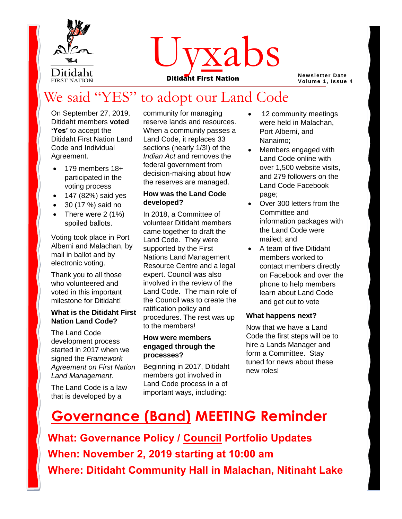

# Ditidaht First Nation vxabs

**Newsletter Date Volume 1, Issue 4**

## We said "YES" to adopt our Land Code

On September 27, 2019, Ditidaht members **voted 'Yes'** to accept the Ditidaht First Nation Land Code and Individual Agreement.

- 179 members 18+ participated in the voting process
- 147 (82%) said yes
- 30 (17 %) said no
- There were 2 (1%) spoiled ballots.

Voting took place in Port Alberni and Malachan, by mail in ballot and by electronic voting.

Thank you to all those who volunteered and voted in this important milestone for Ditidaht!

#### **What is the Ditidaht First Nation Land Code?**

The Land Code development process started in 2017 when we signed the *Framework Agreement on First Nation Land Management*.

The Land Code is a law that is developed by a

community for managing reserve lands and resources. When a community passes a Land Code, it replaces 33 sections (nearly 1/3!) of the *Indian Act* and removes the federal government from decision-making about how the reserves are managed.

#### **How was the Land Code developed?**

In 2018, a Committee of volunteer Ditidaht members came together to draft the Land Code. They were supported by the First Nations Land Management Resource Centre and a legal expert. Council was also involved in the review of the Land Code. The main role of the Council was to create the ratification policy and procedures. The rest was up to the members!

#### **How were members engaged through the processes?**

Beginning in 2017, Ditidaht members got involved in Land Code process in a of important ways, including:

- 12 community meetings were held in Malachan, Port Alberni, and Nanaimo;
- Members engaged with Land Code online with over 1,500 website visits, and 279 followers on the Land Code Facebook page;
- Over 300 letters from the Committee and information packages with the Land Code were mailed; and
- A team of five Ditidaht members worked to contact members directly on Facebook and over the phone to help members learn about Land Code and get out to vote

#### **What happens next?**

Now that we have a Land Code the first steps will be to hire a Lands Manager and form a Committee. Stay tuned for news about these new roles!

# **Governance (Band) MEETING Reminder**

**What: Governance Policy / Council Portfolio Updates When: November 2, 2019 starting at 10:00 am Where: Ditidaht Community Hall in Malachan, Nitinaht Lake**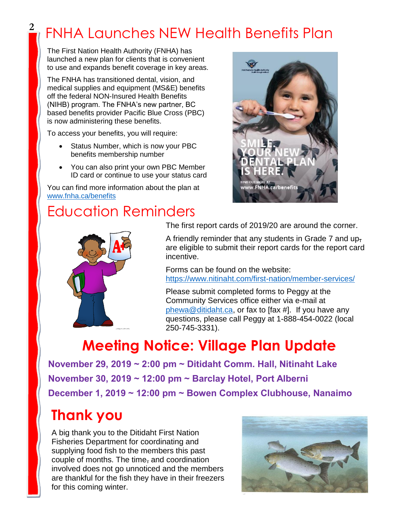# FNHA Launches NEW Health Benefits Plan

The First Nation Health Authority (FNHA) has launched a new plan for clients that is convenient to use and expands benefit coverage in key areas.

The FNHA has transitioned dental, vision, and medical supplies and equipment (MS&E) benefits off the federal NON-Insured Health Benefits (NIHB) program. The FNHA's new partner, BC based benefits provider Pacific Blue Cross (PBC) is now administering these benefits.

To access your benefits, you will require:

**2**

- Status Number, which is now your PBC benefits membership number
- You can also print your own PBC Member ID card or continue to use your status card

You can find more information about the plan at [www.fnha.ca/benefits](http://www.fnha.ca/benefits)

### Education Reminders





The first report cards of 2019/20 are around the corner.

A friendly reminder that any students in Grade 7 and up, are eligible to submit their report cards for the report card incentive.

Forms can be found on the website: <https://www.nitinaht.com/first-nation/member-services/>

Please submit completed forms to Peggy at the Community Services office either via e-mail at [phewa@ditidaht.ca,](mailto:phewa@ditidaht.ca) or fax to [fax #]. If you have any questions, please call Peggy at 1-888-454-0022 (local 250-745-3331).

### **Meeting Notice: Village Plan Update**

**November 29, 2019 ~ 2:00 pm ~ Ditidaht Comm. Hall, Nitinaht Lake November 30, 2019 ~ 12:00 pm ~ Barclay Hotel, Port Alberni December 1, 2019 ~ 12:00 pm ~ Bowen Complex Clubhouse, Nanaimo**

### **Thank you**

A big thank you to the Ditidaht First Nation Fisheries Department for coordinating and supplying food fish to the members this past couple of months. The time, and coordination involved does not go unnoticed and the members are thankful for the fish they have in their freezers for this coming winter.

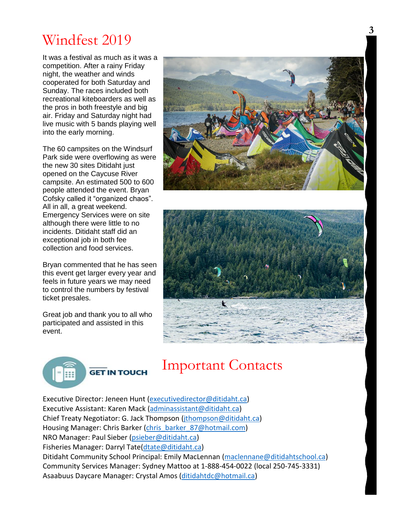### Windfest 2019

It was a festival as much as it was a competition. After a rainy Friday night, the weather and winds cooperated for both Saturday and Sunday. The races included both recreational kiteboarders as well as the pros in both freestyle and big air. Friday and Saturday night had live music with 5 bands playing well into the early morning.

The 60 campsites on the Windsurf Park side were overflowing as were the new 30 sites Ditidaht just opened on the Caycuse River campsite. An estimated 500 to 600 people attended the event. Bryan Cofsky called it "organized chaos". All in all, a great weekend. Emergency Services were on site although there were little to no incidents. Ditidaht staff did an exceptional job in both fee collection and food services.

Bryan commented that he has seen this event get larger every year and feels in future years we may need to control the numbers by festival ticket presales.

Great job and thank you to all who participated and assisted in this event.







### Important Contacts

Executive Director: Jeneen Hunt [\(executivedirector@ditidaht.ca\)](mailto:executivedirector@ditidaht.ca) Executive Assistant: Karen Mack [\(adminassistant@ditidaht.ca\)](mailto:adminassistant@ditidaht.ca) Chief Treaty Negotiator: G. Jack Thompson [\(jthompson@ditidaht.ca\)](mailto:jthompson@ditidaht.ca) Housing Manager: Chris Barker [\(chris\\_barker\\_87@hotmail.com\)](mailto:chris_barker_87@hotmail.com) NRO Manager: Paul Sieber [\(psieber@ditidaht.ca\)](mailto:psieber@ditidaht.ca) Fisheries Manager: Darryl Tate[\(dtate@ditidaht.ca\)](mailto:dtate@ditidaht.ca) Ditidaht Community School Principal: Emily MacLennan [\(maclennane@ditidahtschool.ca\)](mailto:maclennane@ditidahtschool.ca) Community Services Manager: Sydney Mattoo at 1-888-454-0022 (local 250-745-3331) Asaabuus Daycare Manager: Crystal Amos [\(ditidahtdc@hotmail.ca\)](mailto:ditidahtdc@hotmail.ca)